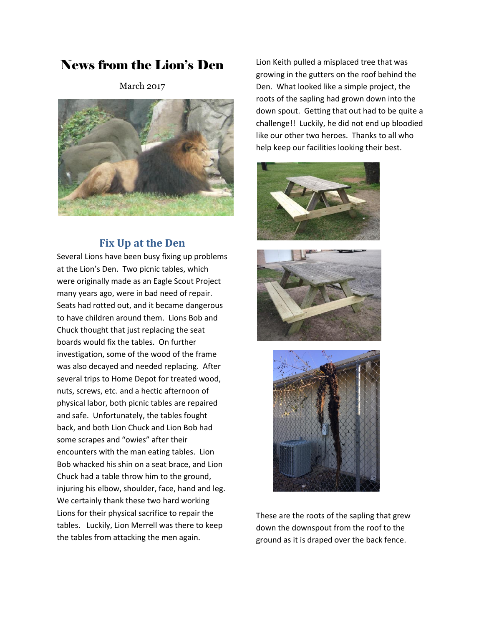# News from the Lion's Den

March 2017



### **Fix Up at the Den**

Several Lions have been busy fixing up problems at the Lion's Den. Two picnic tables, which were originally made as an Eagle Scout Project many years ago, were in bad need of repair. Seats had rotted out, and it became dangerous to have children around them. Lions Bob and Chuck thought that just replacing the seat boards would fix the tables. On further investigation, some of the wood of the frame was also decayed and needed replacing. After several trips to Home Depot for treated wood, nuts, screws, etc. and a hectic afternoon of physical labor, both picnic tables are repaired and safe. Unfortunately, the tables fought back, and both Lion Chuck and Lion Bob had some scrapes and "owies" after their encounters with the man eating tables. Lion Bob whacked his shin on a seat brace, and Lion Chuck had a table throw him to the ground, injuring his elbow, shoulder, face, hand and leg. We certainly thank these two hard working Lions for their physical sacrifice to repair the tables. Luckily, Lion Merrell was there to keep the tables from attacking the men again.

Lion Keith pulled a misplaced tree that was growing in the gutters on the roof behind the Den. What looked like a simple project, the roots of the sapling had grown down into the down spout. Getting that out had to be quite a challenge!! Luckily, he did not end up bloodied like our other two heroes. Thanks to all who help keep our facilities looking their best.







These are the roots of the sapling that grew down the downspout from the roof to the ground as it is draped over the back fence.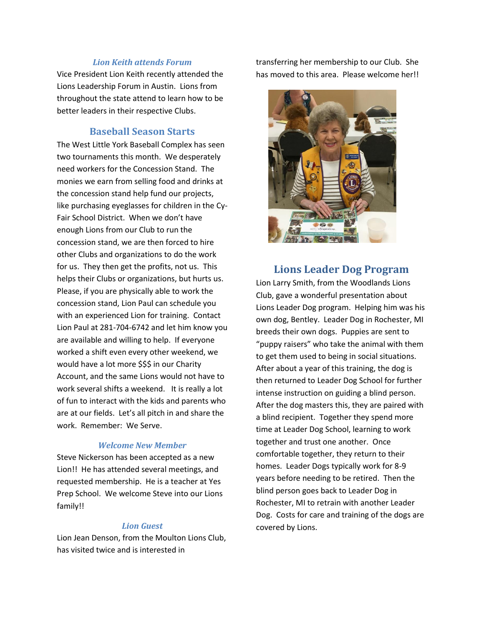#### *Lion Keith attends Forum*

Vice President Lion Keith recently attended the Lions Leadership Forum in Austin. Lions from throughout the state attend to learn how to be better leaders in their respective Clubs.

#### **Baseball Season Starts**

The West Little York Baseball Complex has seen two tournaments this month. We desperately need workers for the Concession Stand. The monies we earn from selling food and drinks at the concession stand help fund our projects, like purchasing eyeglasses for children in the Cy-Fair School District. When we don't have enough Lions from our Club to run the concession stand, we are then forced to hire other Clubs and organizations to do the work for us. They then get the profits, not us. This helps their Clubs or organizations, but hurts us. Please, if you are physically able to work the concession stand, Lion Paul can schedule you with an experienced Lion for training. Contact Lion Paul at 281-704-6742 and let him know you are available and willing to help. If everyone worked a shift even every other weekend, we would have a lot more \$\$\$ in our Charity Account, and the same Lions would not have to work several shifts a weekend. It is really a lot of fun to interact with the kids and parents who are at our fields. Let's all pitch in and share the work. Remember: We Serve.

#### *Welcome New Member*

Steve Nickerson has been accepted as a new Lion!! He has attended several meetings, and requested membership. He is a teacher at Yes Prep School. We welcome Steve into our Lions family!!

#### *Lion Guest*

Lion Jean Denson, from the Moulton Lions Club, has visited twice and is interested in

transferring her membership to our Club. She has moved to this area. Please welcome her!!



### **Lions Leader Dog Program**

Lion Larry Smith, from the Woodlands Lions Club, gave a wonderful presentation about Lions Leader Dog program. Helping him was his own dog, Bentley. Leader Dog in Rochester, MI breeds their own dogs. Puppies are sent to "puppy raisers" who take the animal with them to get them used to being in social situations. After about a year of this training, the dog is then returned to Leader Dog School for further intense instruction on guiding a blind person. After the dog masters this, they are paired with a blind recipient. Together they spend more time at Leader Dog School, learning to work together and trust one another. Once comfortable together, they return to their homes. Leader Dogs typically work for 8-9 years before needing to be retired. Then the blind person goes back to Leader Dog in Rochester, MI to retrain with another Leader Dog. Costs for care and training of the dogs are covered by Lions.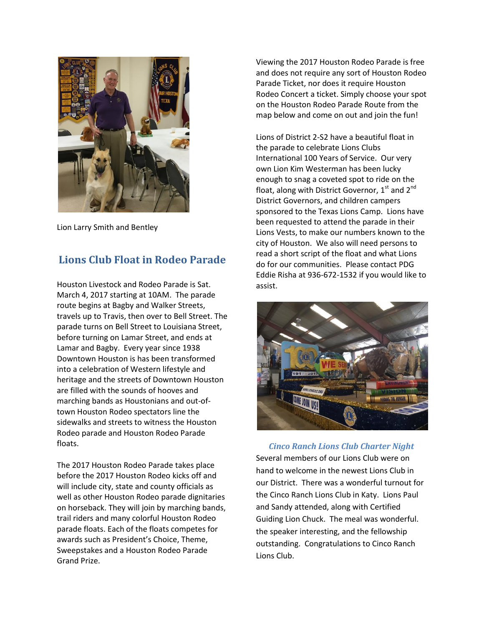

Lion Larry Smith and Bentley

## **Lions Club Float in Rodeo Parade**

Houston Livestock and Rodeo Parade is Sat. March 4, 2017 starting at 10AM. The parade route begins at Bagby and Walker Streets, travels up to Travis, then over to Bell Street. The parade turns on Bell Street to Louisiana Street, before turning on Lamar Street, and ends at Lamar and Bagby. Every year since 1938 Downtown Houston is has been transformed into a celebration of Western lifestyle and heritage and the streets of Downtown Houston are filled with the sounds of hooves and marching bands as Houstonians and out-oftown Houston Rodeo spectators line the sidewalks and streets to witness the Houston Rodeo parade and Houston Rodeo Parade floats.

The 2017 Houston Rodeo Parade takes place before the 2017 Houston Rodeo kicks off and will include city, state and county officials as well as other Houston Rodeo parade dignitaries on horseback. They will join by marching bands, trail riders and many colorful Houston Rodeo parade floats. Each of the floats competes for awards such as President's Choice, Theme, Sweepstakes and a Houston Rodeo Parade Grand Prize.

Viewing the 2017 Houston Rodeo Parade is free and does not require any sort of Houston Rodeo Parade Ticket, nor does it require Houston Rodeo Concert a ticket. Simply choose your spot on the Houston Rodeo Parade Route from the map below and come on out and join the fun!

Lions of District 2-S2 have a beautiful float in the parade to celebrate Lions Clubs International 100 Years of Service. Our very own Lion Kim Westerman has been lucky enough to snag a coveted spot to ride on the float, along with District Governor,  $1<sup>st</sup>$  and  $2<sup>nd</sup>$ District Governors, and children campers sponsored to the Texas Lions Camp. Lions have been requested to attend the parade in their Lions Vests, to make our numbers known to the city of Houston. We also will need persons to read a short script of the float and what Lions do for our communities. Please contact PDG Eddie Risha at 936-672-1532 if you would like to assist.



*Cinco Ranch Lions Club Charter Night* Several members of our Lions Club were on hand to welcome in the newest Lions Club in our District. There was a wonderful turnout for the Cinco Ranch Lions Club in Katy. Lions Paul and Sandy attended, along with Certified Guiding Lion Chuck. The meal was wonderful. the speaker interesting, and the fellowship outstanding. Congratulations to Cinco Ranch Lions Club.